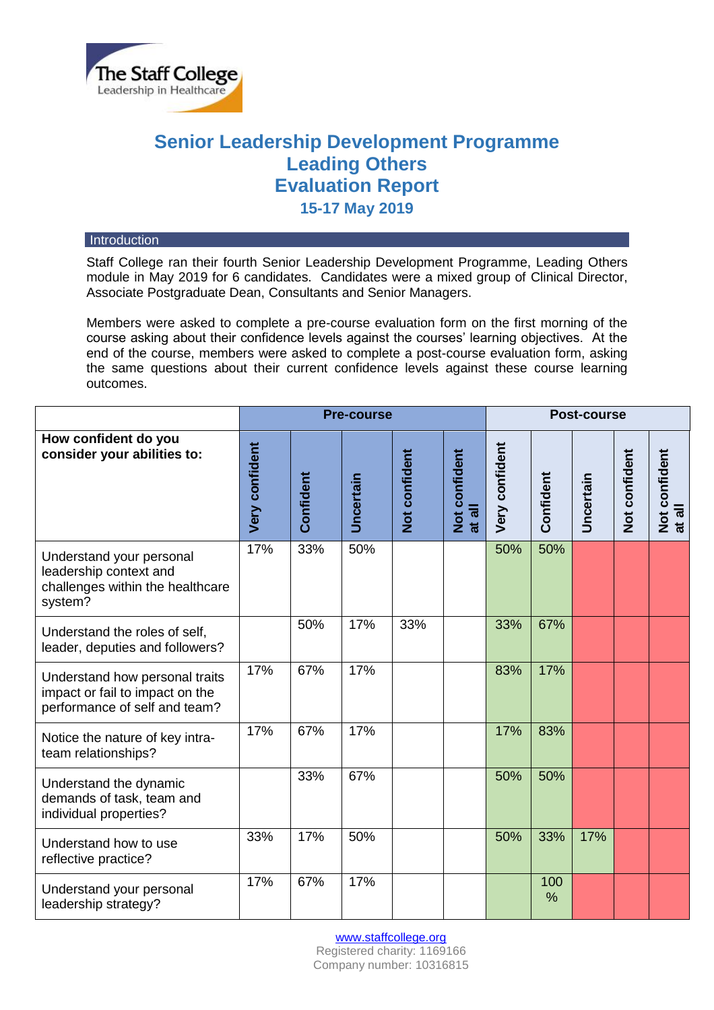

# **Senior Leadership Development Programme Leading Others Evaluation Report 15-17 May 2019**

#### **Introduction**

Staff College ran their fourth Senior Leadership Development Programme, Leading Others module in May 2019 for 6 candidates. Candidates were a mixed group of Clinical Director, Associate Postgraduate Dean, Consultants and Senior Managers.

Members were asked to complete a pre-course evaluation form on the first morning of the course asking about their confidence levels against the courses' learning objectives. At the end of the course, members were asked to complete a post-course evaluation form, asking the same questions about their current confidence levels against these course learning outcomes.

|                                                                                                    | <b>Pre-course</b>     |           |           |               |                         | <b>Post-course</b> |           |                  |               |                         |
|----------------------------------------------------------------------------------------------------|-----------------------|-----------|-----------|---------------|-------------------------|--------------------|-----------|------------------|---------------|-------------------------|
| How confident do you<br>consider your abilities to:                                                | <b>Very confident</b> | Confident | Uncertain | Not confident | Not confident<br>at all | Very confident     | Confident | <b>Uncertain</b> | Not confident | Not confident<br>at all |
| Understand your personal<br>leadership context and<br>challenges within the healthcare<br>system?  | 17%                   | 33%       | 50%       |               |                         | 50%                | 50%       |                  |               |                         |
| Understand the roles of self,<br>leader, deputies and followers?                                   |                       | 50%       | 17%       | 33%           |                         | 33%                | 67%       |                  |               |                         |
| Understand how personal traits<br>impact or fail to impact on the<br>performance of self and team? | 17%                   | 67%       | 17%       |               |                         | 83%                | 17%       |                  |               |                         |
| Notice the nature of key intra-<br>team relationships?                                             | 17%                   | 67%       | 17%       |               |                         | 17%                | 83%       |                  |               |                         |
| Understand the dynamic<br>demands of task, team and<br>individual properties?                      |                       | 33%       | 67%       |               |                         | 50%                | 50%       |                  |               |                         |
| Understand how to use<br>reflective practice?                                                      | 33%                   | 17%       | 50%       |               |                         | 50%                | 33%       | 17%              |               |                         |
| Understand your personal<br>leadership strategy?                                                   | 17%                   | 67%       | 17%       |               |                         |                    | 100<br>%  |                  |               |                         |

[www.staffcollege.org](http://www.staffcollege.org/)

Registered charity: 1169166 Company number: 10316815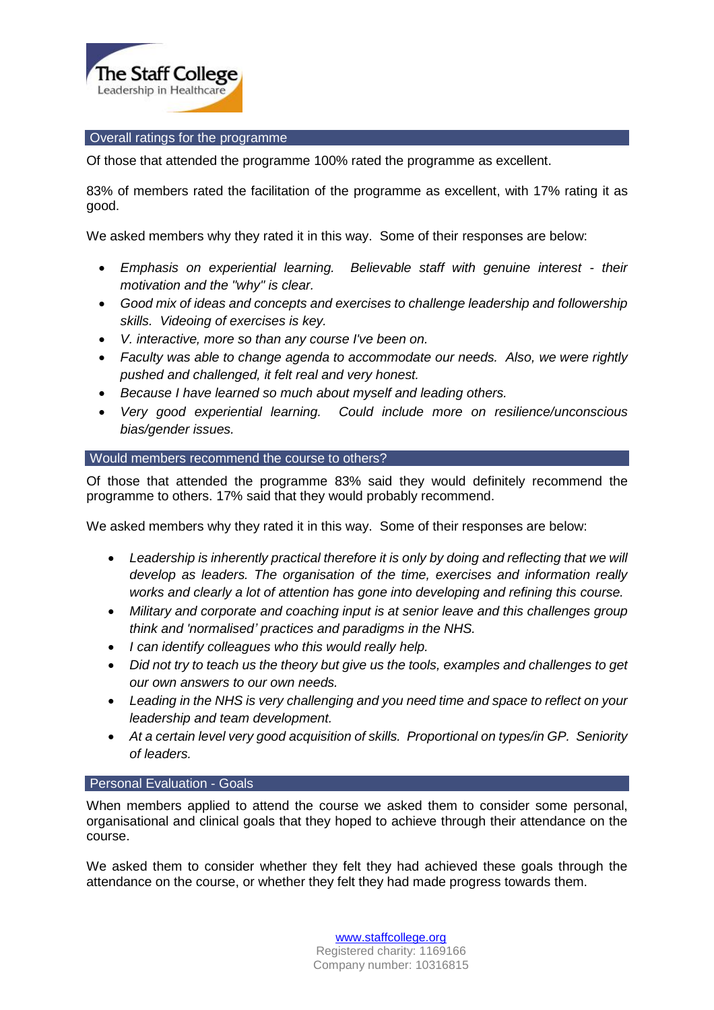

## Overall ratings for the programme

Of those that attended the programme 100% rated the programme as excellent.

83% of members rated the facilitation of the programme as excellent, with 17% rating it as good.

We asked members why they rated it in this way. Some of their responses are below:

- *Emphasis on experiential learning. Believable staff with genuine interest - their motivation and the "why" is clear.*
- *Good mix of ideas and concepts and exercises to challenge leadership and followership skills. Videoing of exercises is key.*
- *V. interactive, more so than any course I've been on.*
- *Faculty was able to change agenda to accommodate our needs. Also, we were rightly pushed and challenged, it felt real and very honest.*
- *Because I have learned so much about myself and leading others.*
- *Very good experiential learning. Could include more on resilience/unconscious bias/gender issues.*

# Would members recommend the course to others?

Of those that attended the programme 83% said they would definitely recommend the programme to others. 17% said that they would probably recommend.

We asked members why they rated it in this way. Some of their responses are below:

- *Leadership is inherently practical therefore it is only by doing and reflecting that we will develop as leaders. The organisation of the time, exercises and information really works and clearly a lot of attention has gone into developing and refining this course.*
- *Military and corporate and coaching input is at senior leave and this challenges group think and 'normalised' practices and paradigms in the NHS.*
- *I can identify colleagues who this would really help.*
- *Did not try to teach us the theory but give us the tools, examples and challenges to get our own answers to our own needs.*
- *Leading in the NHS is very challenging and you need time and space to reflect on your leadership and team development.*
- *At a certain level very good acquisition of skills. Proportional on types/in GP. Seniority of leaders.*

## Personal Evaluation - Goals

When members applied to attend the course we asked them to consider some personal, organisational and clinical goals that they hoped to achieve through their attendance on the course.

We asked them to consider whether they felt they had achieved these goals through the attendance on the course, or whether they felt they had made progress towards them.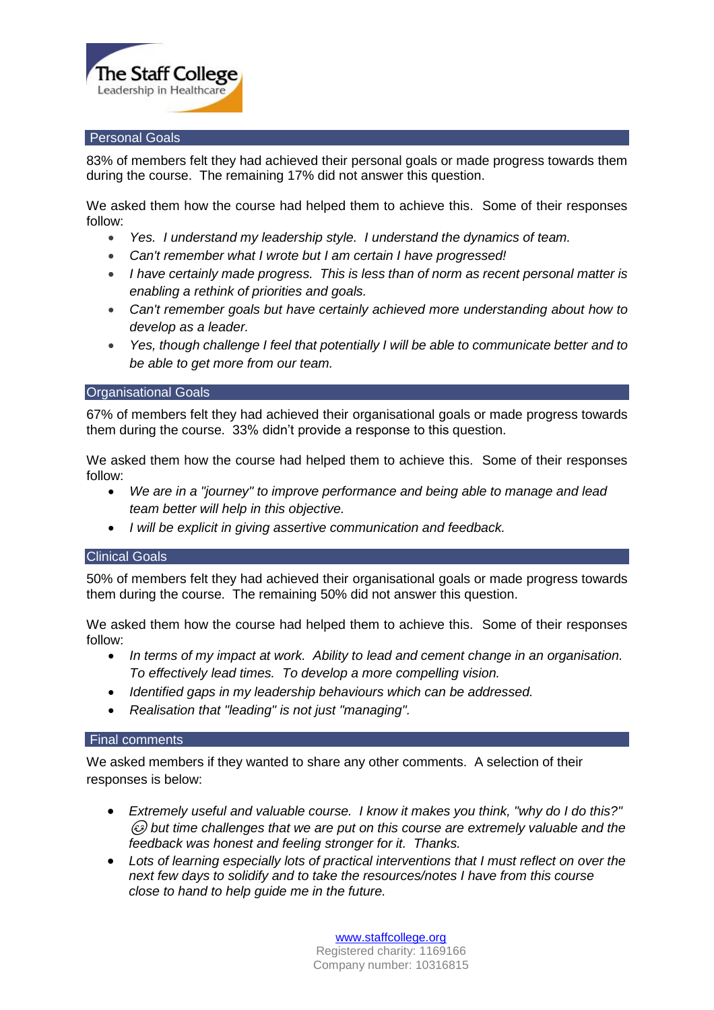

#### Personal Goals

83% of members felt they had achieved their personal goals or made progress towards them during the course. The remaining 17% did not answer this question.

We asked them how the course had helped them to achieve this. Some of their responses follow:

- *Yes. I understand my leadership style. I understand the dynamics of team.*
- *Can't remember what I wrote but I am certain I have progressed!*
- *I have certainly made progress. This is less than of norm as recent personal matter is enabling a rethink of priorities and goals.*
- *Can't remember goals but have certainly achieved more understanding about how to develop as a leader.*
- *Yes, though challenge I feel that potentially I will be able to communicate better and to be able to get more from our team.*

#### Organisational Goals

67% of members felt they had achieved their organisational goals or made progress towards them during the course. 33% didn't provide a response to this question.

We asked them how the course had helped them to achieve this. Some of their responses follow:

- *We are in a "journey" to improve performance and being able to manage and lead team better will help in this objective.*
- *I will be explicit in giving assertive communication and feedback.*

## Clinical Goals

50% of members felt they had achieved their organisational goals or made progress towards them during the course. The remaining 50% did not answer this question.

We asked them how the course had helped them to achieve this. Some of their responses follow:

- *In terms of my impact at work. Ability to lead and cement change in an organisation. To effectively lead times. To develop a more compelling vision.*
- *Identified gaps in my leadership behaviours which can be addressed.*
- *Realisation that "leading" is not just "managing".*

# Final comments

We asked members if they wanted to share any other comments. A selection of their responses is below:

- *Extremely useful and valuable course. I know it makes you think, "why do I do this?" but time challenges that we are put on this course are extremely valuable and the feedback was honest and feeling stronger for it. Thanks.*
- *Lots of learning especially lots of practical interventions that I must reflect on over the next few days to solidify and to take the resources/notes I have from this course close to hand to help guide me in the future.*